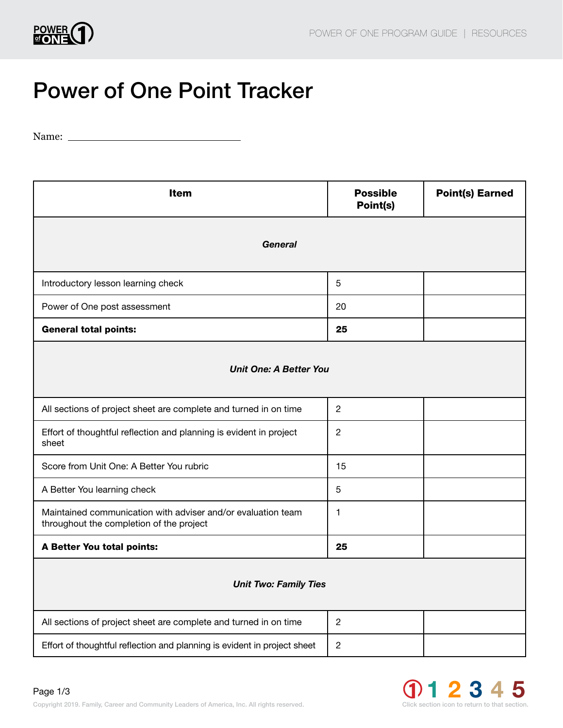

## Power of One Point Tracker

Name:

| <b>Item</b>                                                                                              | <b>Possible</b><br>Point(s) | <b>Point(s) Earned</b> |  |
|----------------------------------------------------------------------------------------------------------|-----------------------------|------------------------|--|
| General                                                                                                  |                             |                        |  |
| Introductory lesson learning check                                                                       | 5                           |                        |  |
| Power of One post assessment                                                                             | 20                          |                        |  |
| <b>General total points:</b>                                                                             | 25                          |                        |  |
| <b>Unit One: A Better You</b>                                                                            |                             |                        |  |
| All sections of project sheet are complete and turned in on time                                         | $\overline{c}$              |                        |  |
| Effort of thoughtful reflection and planning is evident in project<br>sheet                              | $\overline{2}$              |                        |  |
| Score from Unit One: A Better You rubric                                                                 | 15                          |                        |  |
| A Better You learning check                                                                              | 5                           |                        |  |
| Maintained communication with adviser and/or evaluation team<br>throughout the completion of the project | 1                           |                        |  |
| A Better You total points:                                                                               | 25                          |                        |  |
| <b>Unit Two: Family Ties</b>                                                                             |                             |                        |  |
| All sections of project sheet are complete and turned in on time                                         | 2                           |                        |  |
| Effort of thoughtful reflection and planning is evident in project sheet                                 | $\sqrt{2}$                  |                        |  |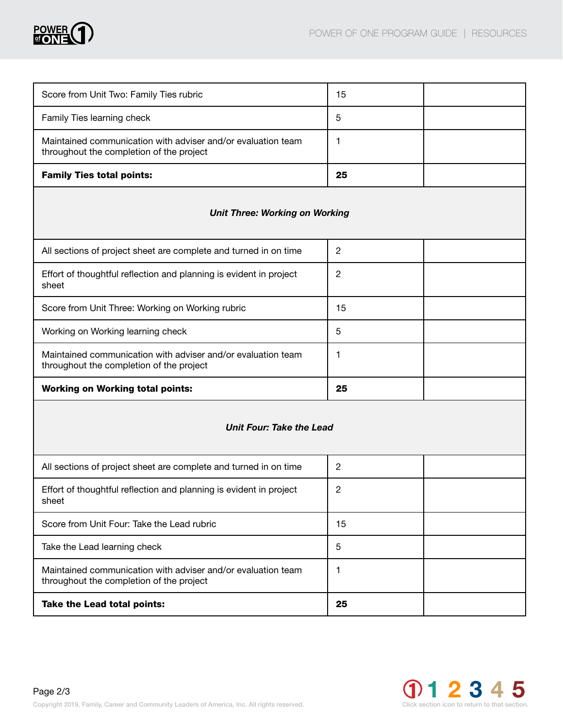

| Score from Unit Two: Family Ties rubric                                                                  | 15 |  |
|----------------------------------------------------------------------------------------------------------|----|--|
| Family Ties learning check                                                                               | 5  |  |
| Maintained communication with adviser and/or evaluation team<br>throughout the completion of the project |    |  |
| <b>Family Ties total points:</b>                                                                         | 25 |  |

## *Unit Three: Working on Working*

| All sections of project sheet are complete and turned in on time                                         | 2  |  |
|----------------------------------------------------------------------------------------------------------|----|--|
| Effort of thoughtful reflection and planning is evident in project<br>sheet                              | 2  |  |
| Score from Unit Three: Working on Working rubric                                                         | 15 |  |
| Working on Working learning check                                                                        | 5  |  |
| Maintained communication with adviser and/or evaluation team<br>throughout the completion of the project |    |  |
| <b>Working on Working total points:</b>                                                                  | 25 |  |

## *Unit Four: Take the Lead*

| All sections of project sheet are complete and turned in on time                                         | 2  |  |
|----------------------------------------------------------------------------------------------------------|----|--|
| Effort of thoughtful reflection and planning is evident in project<br>sheet                              | 2  |  |
| Score from Unit Four: Take the Lead rubric                                                               | 15 |  |
| Take the Lead learning check                                                                             | 5  |  |
| Maintained communication with adviser and/or evaluation team<br>throughout the completion of the project |    |  |
| Take the Lead total points:                                                                              | 25 |  |